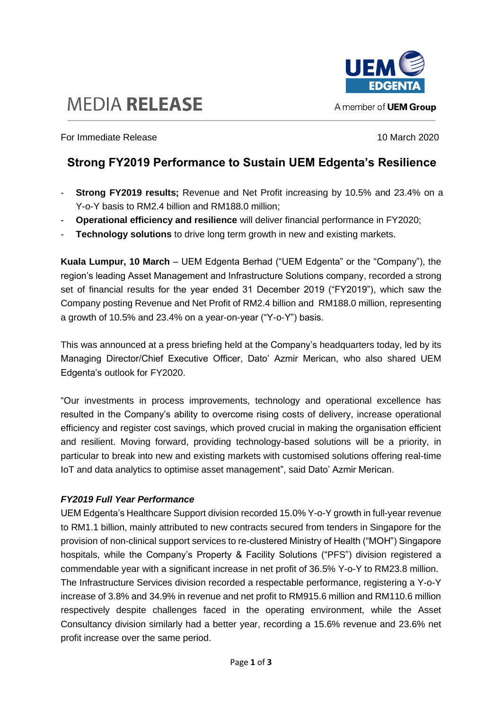



A member of **UEM Group** 

**For Immediate Release 10 March 2020** 10 March 2020

## **Strong FY2019 Performance to Sustain UEM Edgenta's Resilience**

- **Strong FY2019 results;** Revenue and Net Profit increasing by 10.5% and 23.4% on a Y-o-Y basis to RM2.4 billion and RM188.0 million;
- **Operational efficiency and resilience** will deliver financial performance in FY2020;
- **Technology solutions** to drive long term growth in new and existing markets.

**Kuala Lumpur, 10 March** – UEM Edgenta Berhad ("UEM Edgenta" or the "Company"), the region's leading Asset Management and Infrastructure Solutions company, recorded a strong set of financial results for the year ended 31 December 2019 ("FY2019"), which saw the Company posting Revenue and Net Profit of RM2.4 billion and RM188.0 million, representing a growth of 10.5% and 23.4% on a year-on-year ("Y-o-Y") basis.

This was announced at a press briefing held at the Company's headquarters today, led by its Managing Director/Chief Executive Officer, Dato' Azmir Merican, who also shared UEM Edgenta's outlook for FY2020.

"Our investments in process improvements, technology and operational excellence has resulted in the Company's ability to overcome rising costs of delivery, increase operational efficiency and register cost savings, which proved crucial in making the organisation efficient and resilient. Moving forward, providing technology-based solutions will be a priority, in particular to break into new and existing markets with customised solutions offering real-time IoT and data analytics to optimise asset management", said Dato' Azmir Merican.

## *FY2019 Full Year Performance*

UEM Edgenta's Healthcare Support division recorded 15.0% Y-o-Y growth in full-year revenue to RM1.1 billion, mainly attributed to new contracts secured from tenders in Singapore for the provision of non-clinical support services to re-clustered Ministry of Health ("MOH") Singapore hospitals, while the Company's Property & Facility Solutions ("PFS") division registered a commendable year with a significant increase in net profit of 36.5% Y-o-Y to RM23.8 million. The Infrastructure Services division recorded a respectable performance, registering a Y-o-Y increase of 3.8% and 34.9% in revenue and net profit to RM915.6 million and RM110.6 million respectively despite challenges faced in the operating environment, while the Asset Consultancy division similarly had a better year, recording a 15.6% revenue and 23.6% net profit increase over the same period.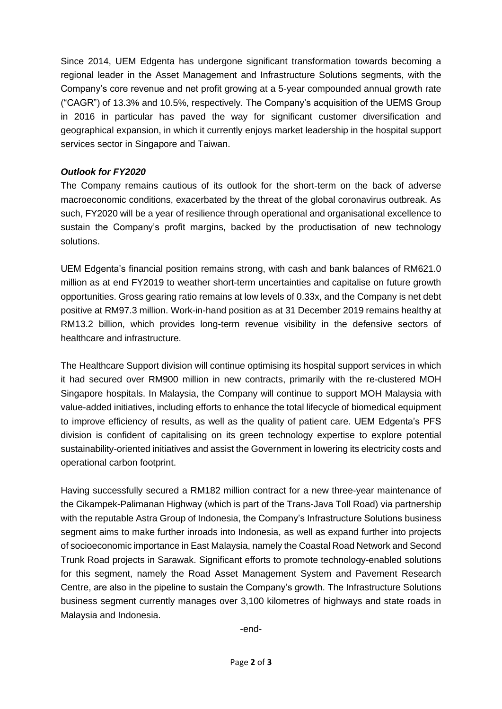Since 2014, UEM Edgenta has undergone significant transformation towards becoming a regional leader in the Asset Management and Infrastructure Solutions segments, with the Company's core revenue and net profit growing at a 5-year compounded annual growth rate ("CAGR") of 13.3% and 10.5%, respectively. The Company's acquisition of the UEMS Group in 2016 in particular has paved the way for significant customer diversification and geographical expansion, in which it currently enjoys market leadership in the hospital support services sector in Singapore and Taiwan.

## *Outlook for FY2020*

The Company remains cautious of its outlook for the short-term on the back of adverse macroeconomic conditions, exacerbated by the threat of the global coronavirus outbreak. As such, FY2020 will be a year of resilience through operational and organisational excellence to sustain the Company's profit margins, backed by the productisation of new technology solutions.

UEM Edgenta's financial position remains strong, with cash and bank balances of RM621.0 million as at end FY2019 to weather short-term uncertainties and capitalise on future growth opportunities. Gross gearing ratio remains at low levels of 0.33x, and the Company is net debt positive at RM97.3 million. Work-in-hand position as at 31 December 2019 remains healthy at RM13.2 billion, which provides long-term revenue visibility in the defensive sectors of healthcare and infrastructure.

The Healthcare Support division will continue optimising its hospital support services in which it had secured over RM900 million in new contracts, primarily with the re-clustered MOH Singapore hospitals. In Malaysia, the Company will continue to support MOH Malaysia with value-added initiatives, including efforts to enhance the total lifecycle of biomedical equipment to improve efficiency of results, as well as the quality of patient care. UEM Edgenta's PFS division is confident of capitalising on its green technology expertise to explore potential sustainability-oriented initiatives and assist the Government in lowering its electricity costs and operational carbon footprint.

Having successfully secured a RM182 million contract for a new three-year maintenance of the Cikampek-Palimanan Highway (which is part of the Trans-Java Toll Road) via partnership with the reputable Astra Group of Indonesia, the Company's Infrastructure Solutions business segment aims to make further inroads into Indonesia, as well as expand further into projects of socioeconomic importance in East Malaysia, namely the Coastal Road Network and Second Trunk Road projects in Sarawak. Significant efforts to promote technology-enabled solutions for this segment, namely the Road Asset Management System and Pavement Research Centre, are also in the pipeline to sustain the Company's growth. The Infrastructure Solutions business segment currently manages over 3,100 kilometres of highways and state roads in Malaysia and Indonesia.

-end-